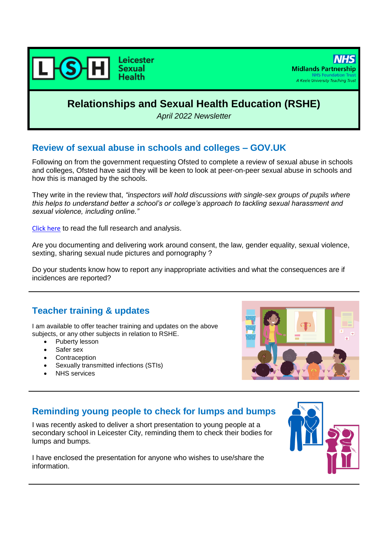

# **Relationships and Sexual Health Education (RSHE)**

*April 2022 Newsletter*

#### **Review of sexual abuse in schools and colleges – GOV.UK**

Following on from the government requesting Ofsted to complete a review of sexual abuse in schools and colleges, Ofsted have said they will be keen to look at peer-on-peer sexual abuse in schools and how this is managed by the schools.

They write in the review that, *"inspectors will hold discussions with single-sex groups of pupils where this helps to understand better a school's or college's approach to tackling sexual harassment and sexual violence, including online."*

[Click here](https://www.gov.uk/government/publications/review-of-sexual-abuse-in-schools-and-colleges/review-of-sexual-abuse-in-schools-and-colleges) to read the full research and analysis.

Are you documenting and delivering work around consent, the law, gender equality, sexual violence, sexting, sharing sexual nude pictures and pornography ?

Do your students know how to report any inappropriate activities and what the consequences are if incidences are reported?

# **Teacher training & updates**

I am available to offer teacher training and updates on the above subjects, or any other subjects in relation to RSHE.

- Puberty lesson
- Safer sex
- **Contraception**
- Sexually transmitted infections (STIs)
- NHS services



# **Reminding young people to check for lumps and bumps**

I was recently asked to deliver a short presentation to young people at a secondary school in Leicester City, reminding them to check their bodies for lumps and bumps.

I have enclosed the presentation for anyone who wishes to use/share the information.

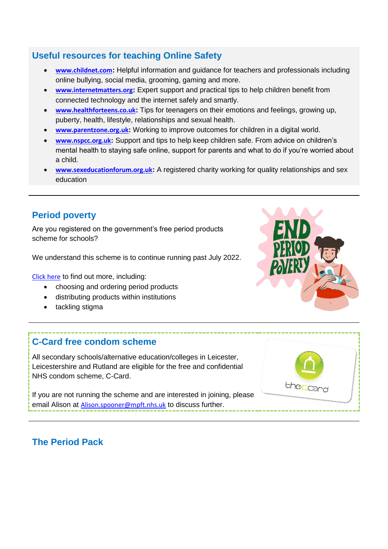# **Useful resources for teaching Online Safety**

- **[www.childnet.com](http://www.childnet.com/):** Helpful information and guidance for teachers and professionals including online bullying, social media, grooming, gaming and more.
- **[www.internetmatters.org](http://www.internetmatters.org/):** Expert support and practical tips to help children benefit from connected technology and the internet safely and smartly.
- **[www.healthforteens.co.uk](http://www.healthforteens.co.uk/):** Tips for teenagers on their emotions and feelings, growing up, puberty, health, lifestyle, relationships and sexual health.
- **[www.parentzone.org.uk](http://www.parentzone.org.uk/):** Working to improve outcomes for children in a digital world.
- **[www.nspcc.org.uk](http://www.nspcc.org.uk/):** Support and tips to help keep children safe. From advice on children's mental health to staying safe online, support for parents and what to do if you're worried about a child.
- **[www.sexeducationforum.org.uk](http://www.sexeducationforum.org.uk/):** A registered charity working for quality relationships and sex education

# **Period poverty**

Are you registered on the government's free period products scheme for schools?

We understand this scheme is to continue running past July 2022.

[Click here](https://www.gov.uk/government/publications/period-products-in-schools-and-colleges/period-product-scheme-for-schools-and-colleges-in-england) to find out more, including:

- choosing and ordering period products
- distributing products within institutions
- tackling stigma

# **C-Card free condom scheme**

All secondary schools/alternative education/colleges in Leicester, Leicestershire and Rutland are eligible for the free and confidential NHS condom scheme, C-Card.

If you are not running the scheme and are interested in joining, please email Alison at [Alison.spooner@mpft.nhs.uk](mailto:Alison.spooner@mpft.nhs.uk) to discuss further.



# **The Period Pack**